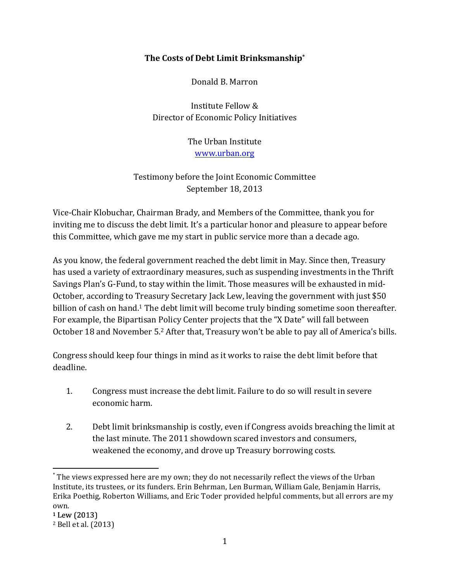### **The\$Costs\$of\$Debt\$Limit Brinksmanship\***

Donald B. Marron

Institute Fellow & Director of Economic Policy Initiatives

> The Urban Institute www.urban.org

# Testimony before the Joint Economic Committee September 18, 2013

Vice-Chair Klobuchar, Chairman Brady, and Members of the Committee, thank you for inviting me to discuss the debt limit. It's a particular honor and pleasure to appear before this Committee, which gave me my start in public service more than a decade ago.

As you know, the federal government reached the debt limit in May. Since then, Treasury has used a variety of extraordinary measures, such as suspending investments in the Thrift Savings Plan's G-Fund, to stay within the limit. Those measures will be exhausted in mid-October, according to Treasury Secretary Jack Lew, leaving the government with just \$50 billion of cash on hand.<sup>1</sup> The debt limit will become truly binding sometime soon thereafter. For example, the Bipartisan Policy Center projects that the "X Date" will fall between October 18 and November 5.<sup>2</sup> After that, Treasury won't be able to pay all of America's bills.

Congress should keep four things in mind as it works to raise the debt limit before that deadline.

- 1. Congress must increase the debt limit. Failure to do so will result in severe economic harm.
- 2. Debt limit brinksmanship is costly, even if Congress avoids breaching the limit at the last minute. The 2011 showdown scared investors and consumers, weakened the economy, and drove up Treasury borrowing costs.

 $*$  The views expressed here are my own; they do not necessarily reflect the views of the Urban" Institute, its trustees, or its funders. Erin Behrman, Len Burman, William Gale, Benjamin Harris, Erika Poethig, Roberton Williams, and Eric Toder provided helpful comments, but all errors are my own.

 $1$  Lew (2013)

<sup>&</sup>lt;sup>2</sup> Bell et al. (2013)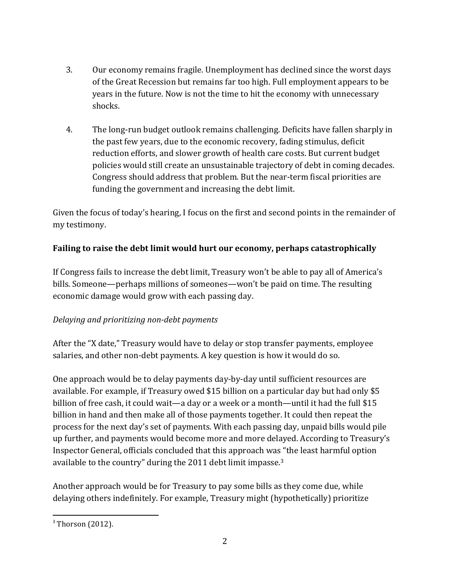- 3. Our economy remains fragile. Unemployment has declined since the worst days of the Great Recession but remains far too high. Full employment appears to be years in the future. Now is not the time to hit the economy with unnecessary shocks.
- 4. The long-run budget outlook remains challenging. Deficits have fallen sharply in the past few years, due to the economic recovery, fading stimulus, deficit reduction efforts, and slower growth of health care costs. But current budget policies would still create an unsustainable trajectory of debt in coming decades. Congress should address that problem. But the near-term fiscal priorities are funding the government and increasing the debt limit.

Given the focus of today's hearing, I focus on the first and second points in the remainder of my testimony.

# Failing to raise the debt limit would hurt our economy, perhaps catastrophically

If Congress fails to increase the debt limit, Treasury won't be able to pay all of America's bills. Someone—perhaps millions of someones—won't be paid on time. The resulting economic damage would grow with each passing day.

## *Delaying and prioritizing non-debt payments*

After the "X date," Treasury would have to delay or stop transfer payments, employee salaries, and other non-debt payments. A key question is how it would do so.

One approach would be to delay payments day-by-day until sufficient resources are available. For example, if Treasury owed \$15 billion on a particular day but had only \$5" billion of free cash, it could wait—a day or a week or a month—until it had the full \$15 billion in hand and then make all of those payments together. It could then repeat the process for the next day's set of payments. With each passing day, unpaid bills would pile up further, and payments would become more and more delayed. According to Treasury's Inspector General, officials concluded that this approach was "the least harmful option" available to the country" during the  $2011$  debt limit impasse.<sup>3</sup>

Another approach would be for Treasury to pay some bills as they come due, while delaying others indefinitely. For example, Treasury might (hypothetically) prioritize

 $3$  Thorson (2012).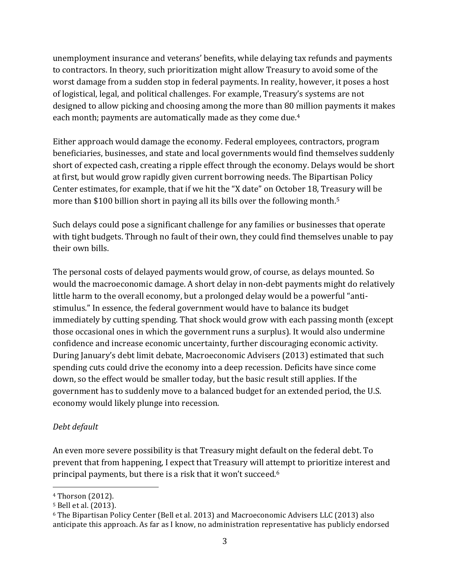unemployment insurance and veterans' benefits, while delaying tax refunds and payments to contractors. In theory, such prioritization might allow Treasury to avoid some of the worst damage from a sudden stop in federal payments. In reality, however, it poses a host of logistical, legal, and political challenges. For example, Treasury's systems are not designed to allow picking and choosing among the more than 80 million payments it makes each month; payments are automatically made as they come due.<sup>4</sup>

Either approach would damage the economy. Federal employees, contractors, program beneficiaries, businesses, and state and local governments would find themselves suddenly short of expected cash, creating a ripple effect through the economy. Delays would be short at first, but would grow rapidly given current borrowing needs. The Bipartisan Policy Center estimates, for example, that if we hit the "X date" on October 18, Treasury will be more than \$100 billion short in paying all its bills over the following month.<sup>5</sup>

Such delays could pose a significant challenge for any families or businesses that operate with tight budgets. Through no fault of their own, they could find themselves unable to pay their own bills.

The personal costs of delayed payments would grow, of course, as delays mounted. So would the macroeconomic damage. A short delay in non-debt payments might do relatively little harm to the overall economy, but a prolonged delay would be a powerful "antistimulus." In essence, the federal government would have to balance its budget immediately by cutting spending. That shock would grow with each passing month (except those occasional ones in which the government runs a surplus). It would also undermine confidence and increase economic uncertainty, further discouraging economic activity. During January's debt limit debate, Macroeconomic Advisers (2013) estimated that such spending cuts could drive the economy into a deep recession. Deficits have since come down, so the effect would be smaller today, but the basic result still applies. If the government has to suddenly move to a balanced budget for an extended period, the U.S. economy would likely plunge into recession.

## *Debt)default*

An even more severe possibility is that Treasury might default on the federal debt. To prevent that from happening, I expect that Treasury will attempt to prioritize interest and principal payments, but there is a risk that it won't succeed.<sup>6</sup>

<sup>&</sup>lt;sup>4</sup> Thorson (2012).

<sup>&</sup>lt;sup>5</sup> Bell et al. (2013).

 $6$  The Bipartisan Policy Center (Bell et al. 2013) and Macroeconomic Advisers LLC (2013) also anticipate this approach. As far as I know, no administration representative has publicly endorsed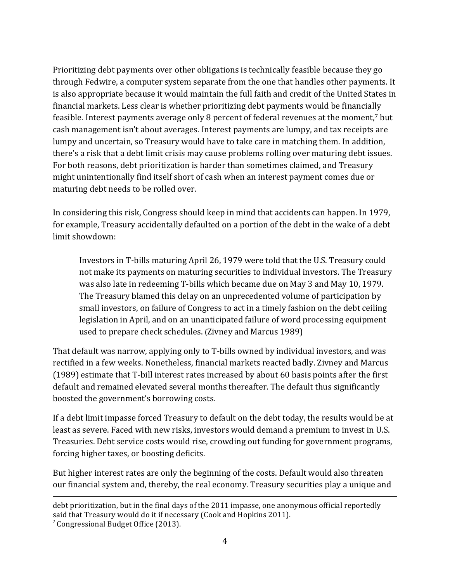Prioritizing debt payments over other obligations is technically feasible because they go" through Fedwire, a computer system separate from the one that handles other payments. It is also appropriate because it would maintain the full faith and credit of the United States in financial markets. Less clear is whether prioritizing debt payments would be financially feasible. Interest payments average only 8 percent of federal revenues at the moment,<sup>7</sup> but cash management isn't about averages. Interest payments are lumpy, and tax receipts are lumpy and uncertain, so Treasury would have to take care in matching them. In addition, there's a risk that a debt limit crisis may cause problems rolling over maturing debt issues. For both reasons, debt prioritization is harder than sometimes claimed, and Treasury might unintentionally find itself short of cash when an interest payment comes due or maturing debt needs to be rolled over.

In considering this risk, Congress should keep in mind that accidents can happen. In 1979, for example, Treasury accidentally defaulted on a portion of the debt in the wake of a debt limit showdown:

Investors in T-bills maturing April 26, 1979 were told that the U.S. Treasury could not make its payments on maturing securities to individual investors. The Treasury was also late in redeeming T-bills which became due on May 3 and May 10, 1979. The Treasury blamed this delay on an unprecedented volume of participation by small investors, on failure of Congress to act in a timely fashion on the debt ceiling legislation in April, and on an unanticipated failure of word processing equipment used to prepare check schedules. (Zivney and Marcus 1989)

That default was narrow, applying only to T-bills owned by individual investors, and was rectified in a few weeks. Nonetheless, financial markets reacted badly. Zivney and Marcus  $(1989)$  estimate that T-bill interest rates increased by about 60 basis points after the first default and remained elevated several months thereafter. The default thus significantly boosted the government's borrowing costs.

If a debt limit impasse forced Treasury to default on the debt today, the results would be at least as severe. Faced with new risks, investors would demand a premium to invest in U.S. Treasuries. Debt service costs would rise, crowding out funding for government programs, forcing higher taxes, or boosting deficits.

But higher interest rates are only the beginning of the costs. Default would also threaten our financial system and, thereby, the real economy. Treasury securities play a unique and

!!!!!!!!!!!!!!!!!!!!!!!!!!!!!!!!!!!!!!!!!!!!!!!!!!!!!!!!!!!!!!!!!!!!!!!!!!!!!!!!!!!!!!!!!!!!!!!!!!!!!!!!!!!!!!!!!!!!!!!!!!!!!!!!!!!!!!!!!!!!!!!!!!!!!!!!!!!!!!!!!!!!!!!!!!!!!!!!!!!!!!!!!!!!!!!!!!!

 $7$  Congressional Budget Office (2013).

debt prioritization, but in the final days of the 2011 impasse, one anonymous official reportedly said that Treasury would do it if necessary (Cook and Hopkins 2011).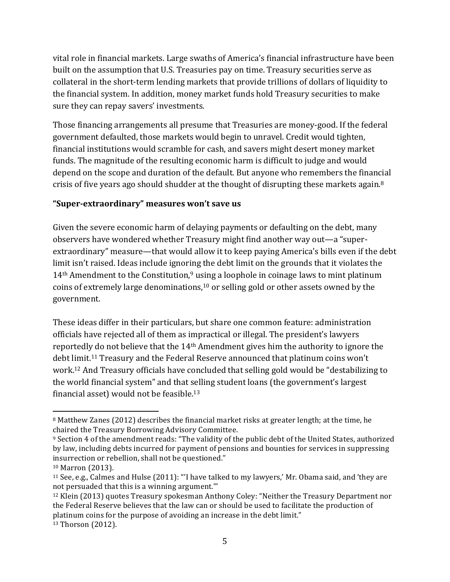vital role in financial markets. Large swaths of America's financial infrastructure have been built on the assumption that U.S. Treasuries pay on time. Treasury securities serve as collateral in the short-term lending markets that provide trillions of dollars of liquidity to the financial system. In addition, money market funds hold Treasury securities to make sure they can repay savers' investments.

Those financing arrangements all presume that Treasuries are money-good. If the federal government defaulted, those markets would begin to unravel. Credit would tighten, financial institutions would scramble for cash, and savers might desert money market funds. The magnitude of the resulting economic harm is difficult to judge and would depend on the scope and duration of the default. But anyone who remembers the financial crisis of five years ago should shudder at the thought of disrupting these markets again.<sup>8</sup>

#### "Super-extraordinary" measures won't save us

Given the severe economic harm of delaying payments or defaulting on the debt, many observers have wondered whether Treasury might find another way out—a "superextraordinary" measure—that would allow it to keep paying America's bills even if the debt limit isn't raised. Ideas include ignoring the debt limit on the grounds that it violates the  $14<sup>th</sup>$  Amendment to the Constitution,<sup>9</sup> using a loophole in coinage laws to mint platinum coins of extremely large denominations, $10$  or selling gold or other assets owned by the government.

These ideas differ in their particulars, but share one common feature: administration officials have rejected all of them as impractical or illegal. The president's lawyers reportedly do not believe that the  $14<sup>th</sup>$  Amendment gives him the authority to ignore the debt limit.<sup>11</sup> Treasury and the Federal Reserve announced that platinum coins won't work.<sup>12</sup> And Treasury officials have concluded that selling gold would be "destabilizing to the world financial system" and that selling student loans (the government's largest financial asset) would not be feasible.<sup>13</sup>

<sup>8</sup> Matthew Zanes (2012) describes the financial market risks at greater length; at the time, he chaired the Treasury Borrowing Advisory Committee.

<sup>&</sup>lt;sup>9</sup> Section 4 of the amendment reads: "The validity of the public debt of the United States, authorized by law, including debts incurred for payment of pensions and bounties for services in suppressing insurrection or rebellion, shall not be questioned."

<sup>&</sup>lt;sup>10</sup> Marron (2013).

<sup>&</sup>lt;sup>11</sup> See, e.g., Calmes and Hulse (2011): "'I have talked to my lawyers,' Mr. Obama said, and 'they are not persuaded that this is a winning argument."

<sup>&</sup>lt;sup>12</sup> Klein (2013) quotes Treasury spokesman Anthony Coley: "Neither the Treasury Department nor" the Federal Reserve believes that the law can or should be used to facilitate the production of platinum coins for the purpose of avoiding an increase in the debt limit."

<sup>&</sup>lt;sup>13</sup> Thorson (2012).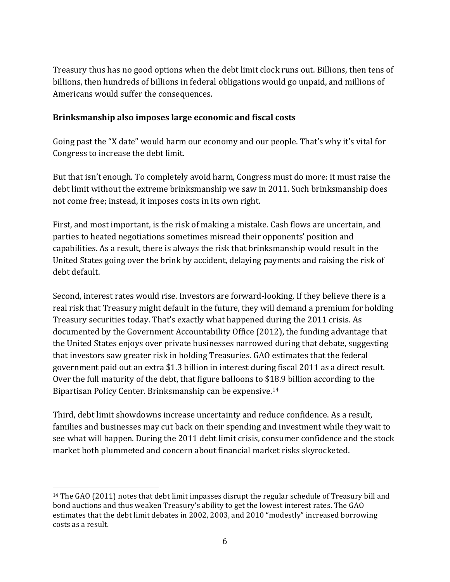Treasury thus has no good options when the debt limit clock runs out. Billions, then tens of billions, then hundreds of billions in federal obligations would go unpaid, and millions of Americans would suffer the consequences.

#### **Brinksmanship** also imposes large economic and fiscal costs

Going past the "X date" would harm our economy and our people. That's why it's vital for Congress to increase the debt limit.

But that isn't enough. To completely avoid harm, Congress must do more: it must raise the debt limit without the extreme brinksmanship we saw in 2011. Such brinksmanship does not come free; instead, it imposes costs in its own right.

First, and most important, is the risk of making a mistake. Cash flows are uncertain, and parties to heated negotiations sometimes misread their opponents' position and capabilities. As a result, there is always the risk that brinksmanship would result in the United States going over the brink by accident, delaying payments and raising the risk of debt default.

Second, interest rates would rise. Investors are forward-looking. If they believe there is a real risk that Treasury might default in the future, they will demand a premium for holding Treasury securities today. That's exactly what happened during the 2011 crisis. As documented by the Government Accountability Office (2012), the funding advantage that the United States enjoys over private businesses narrowed during that debate, suggesting that investors saw greater risk in holding Treasuries. GAO estimates that the federal government paid out an extra \$1.3 billion in interest during fiscal 2011 as a direct result. Over the full maturity of the debt, that figure balloons to \$18.9 billion according to the Bipartisan Policy Center. Brinksmanship can be expensive.<sup>14</sup>

Third, debt limit showdowns increase uncertainty and reduce confidence. As a result, families and businesses may cut back on their spending and investment while they wait to see what will happen. During the 2011 debt limit crisis, consumer confidence and the stock market both plummeted and concern about financial market risks skyrocketed.

<sup>&</sup>lt;sup>14</sup> The GAO (2011) notes that debt limit impasses disrupt the regular schedule of Treasury bill and bond auctions and thus weaken Treasury's ability to get the lowest interest rates. The GAO estimates that the debt limit debates in 2002, 2003, and 2010 "modestly" increased borrowing costs as a result.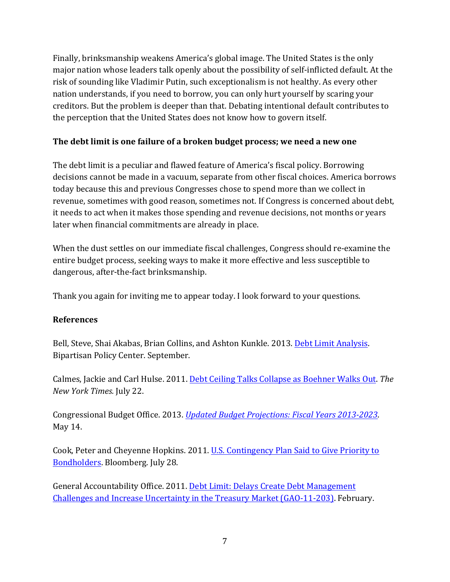Finally, brinksmanship weakens America's global image. The United States is the only major nation whose leaders talk openly about the possibility of self-inflicted default. At the risk of sounding like Vladimir Putin, such exceptionalism is not healthy. As every other nation understands, if you need to borrow, you can only hurt yourself by scaring your creditors. But the problem is deeper than that. Debating intentional default contributes to the perception that the United States does not know how to govern itself.

# The debt limit is one failure of a broken budget process; we need a new one

The debt limit is a peculiar and flawed feature of America's fiscal policy. Borrowing decisions cannot be made in a vacuum, separate from other fiscal choices. America borrows today because this and previous Congresses chose to spend more than we collect in revenue, sometimes with good reason, sometimes not. If Congress is concerned about debt, it needs to act when it makes those spending and revenue decisions, not months or years later when financial commitments are already in place.

When the dust settles on our immediate fiscal challenges, Congress should re-examine the entire budget process, seeking ways to make it more effective and less susceptible to dangerous, after-the-fact brinksmanship.

Thank you again for inviting me to appear today. I look forward to your questions.

#### **References**

Bell, Steve, Shai Akabas, Brian Collins, and Ashton Kunkle. 2013. Debt Limit Analysis. Bipartisan Policy Center. September.

Calmes, Jackie and Carl Hulse. 2011. Debt Ceiling Talks Collapse as Boehner Walks Out. The *New York Times.* July 22.

Congressional Budget Office. 2013. *Updated Budget Projections: Fiscal Years 2013-2023*. May 14.

Cook, Peter and Cheyenne Hopkins. 2011. U.S. Contingency Plan Said to Give Priority to Bondholders. Bloomberg. July 28.

General Accountability Office. 2011. Debt Limit: Delays Create Debt Management Challenges and Increase Uncertainty in the Treasury Market (GAO-11-203). February.